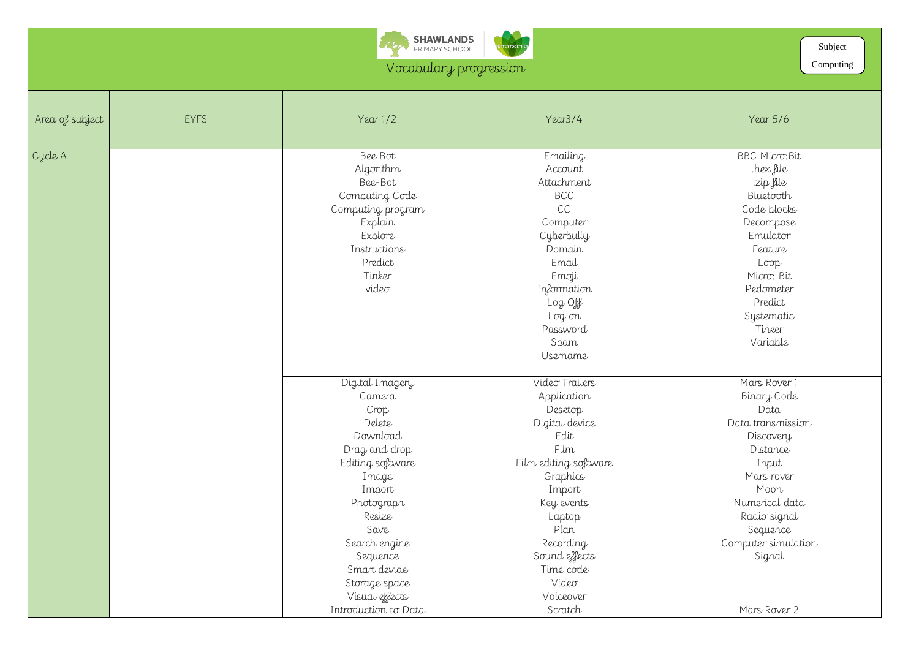

## Vocabulary progression

BBC Micro:Bit .hex file .zip file Bluetooth Code blocks Decompose Emulator Feature Loop Micro: Bit Pedometer Predict Systematic <sub>o</sub><br>Tinker Variable

| Area of subject | <b>EYFS</b> | Year $1/2$           | Year3/4                       | Year $5/6$          |
|-----------------|-------------|----------------------|-------------------------------|---------------------|
| Cycle A         |             | Bee Bot              | Emailing                      | <b>BBC Micro:Bi</b> |
|                 |             | Algorithm            | Account                       | hex file.           |
|                 |             | Bee-Bot              | Attachment                    | zip file.           |
|                 |             | Computing Code       | <b>BCC</b>                    | Bluetooth           |
|                 |             | Computing program    | CC                            | Code blocks         |
|                 |             | Explain              | Computer                      | Decompose           |
|                 |             | Explore              | Cyberbully                    | Emulator            |
|                 |             | Instructions         | Domain                        | Feature             |
|                 |             | Predict              | Email                         | Loop                |
|                 |             | Tinker               | Emoji                         | Micro: Bit          |
|                 |             | video                | Information                   | Pedometer           |
|                 |             |                      | $Log$ Off                     | Predict             |
|                 |             |                      | Log on                        | Systematic          |
|                 |             |                      | Password                      | Tinker              |
|                 |             |                      | Spam                          | Variable            |
|                 |             |                      | <i><u><b>Username</b></u></i> |                     |
|                 |             | Digital Imagery      | Video Trailers                | Mars Rover 1        |
|                 |             | Camera               | Application                   | Binary Code         |
|                 |             | Crop                 | Desktop                       | Data                |
|                 |             | Delete               | Digital device                | Data transmissi     |
|                 |             | Download             | Edit                          | Discovery           |
|                 |             | Drag and drop        | Film                          | Distance            |
|                 |             | Editing software     | Film editing software         | Input               |
|                 |             | Image                | Graphics                      | Mars rover          |
|                 |             | Import               | Import                        | Moon                |
|                 |             | Photograph           | Key events                    | Numerical dat       |
|                 |             | Resize               | Laptop                        | Radio signal        |
|                 |             | Save                 | Plan                          | Sequence            |
|                 |             | Search engine        | Recording                     | Computer simulo     |
|                 |             | Sequence             | Sound effects                 | Signal              |
|                 |             | Smart devide         | Time code                     |                     |
|                 |             | Storage space        | Video                         |                     |
|                 |             | Visual effects       | Voiceover                     |                     |
|                 |             | Introduction to Data | Scratch                       | Mars Rover 2        |

Mars Rover 1 Binary Code Data Data transmission **Discovery** Distance Input Mars rover Moon Numerical data Radio signal Sequence Computer simulation Signal

Computing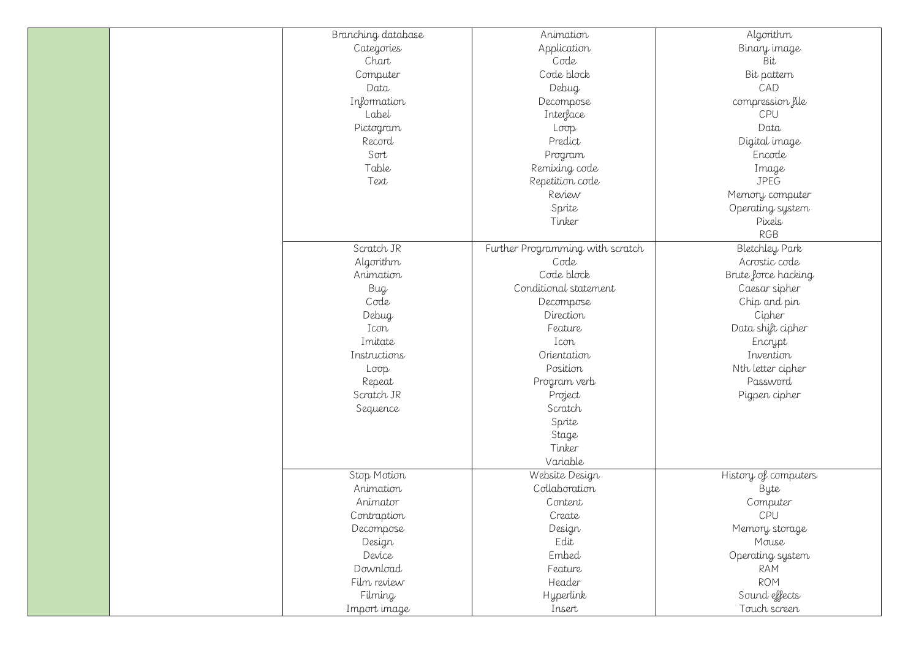| Branching database | Animation                        |  |
|--------------------|----------------------------------|--|
| Categories         | Application                      |  |
| Chart              | Code                             |  |
| Computer           | Code block                       |  |
| Data               | Debug                            |  |
| Information        | Decompose                        |  |
| Label              | Interface                        |  |
| Pictogram          | Loop                             |  |
| Record             | Predict                          |  |
| Sort               | Program                          |  |
| Table              | Remixing code                    |  |
| Text               | Repetition code                  |  |
|                    | Review                           |  |
|                    | Sprite                           |  |
|                    | Tinker                           |  |
|                    |                                  |  |
| Scratch JR         | Further Programming with scratch |  |
| Algorithm          | Code                             |  |
| Animation          | Code block                       |  |
| Bug                | Conditional statement            |  |
| Code               | Decompose                        |  |
| Debug              | Direction                        |  |
| Icon               | Feature                          |  |
| Imitate            | Icon                             |  |
| Instructions       | Orientation                      |  |
| Loop               | Position                         |  |
| Repeat             | Program verb                     |  |
| Scratch JR         | Project                          |  |
| Sequence           | Scratch                          |  |
|                    | Sprite                           |  |
|                    | Stage                            |  |
|                    | Tinker                           |  |
|                    | Variable                         |  |
| Stop Motion        | Website Design                   |  |
| Animation          | Collaboration                    |  |
| Animator           | Content                          |  |
| Contraption        | Create                           |  |
| Decompose          | Design                           |  |
| Design             | Edit                             |  |
| Device             | Embed                            |  |
| Download           | Feature                          |  |
| Film review        | Header                           |  |
| Filming            | <b>Hyperlink</b>                 |  |
| Import image       | Insert                           |  |

Algorithm Binary image  $\overset{\circ}{\mathsf{B}}$ it Bit pattern CAD compression file CPU Data Digital image Encode Image JPEG Memory computer Operating system Pixels RGB Bletchley Park Acrostic code Brute force hacking Caesar sipher Chip and pin Cipher Data shift cipher Encrypt Invention Nth letter cipher Password Pigpen cipher

History of computers Byte Computer CPU Memory storage Mouse Operating system RAM ROM Sound effects Touch screen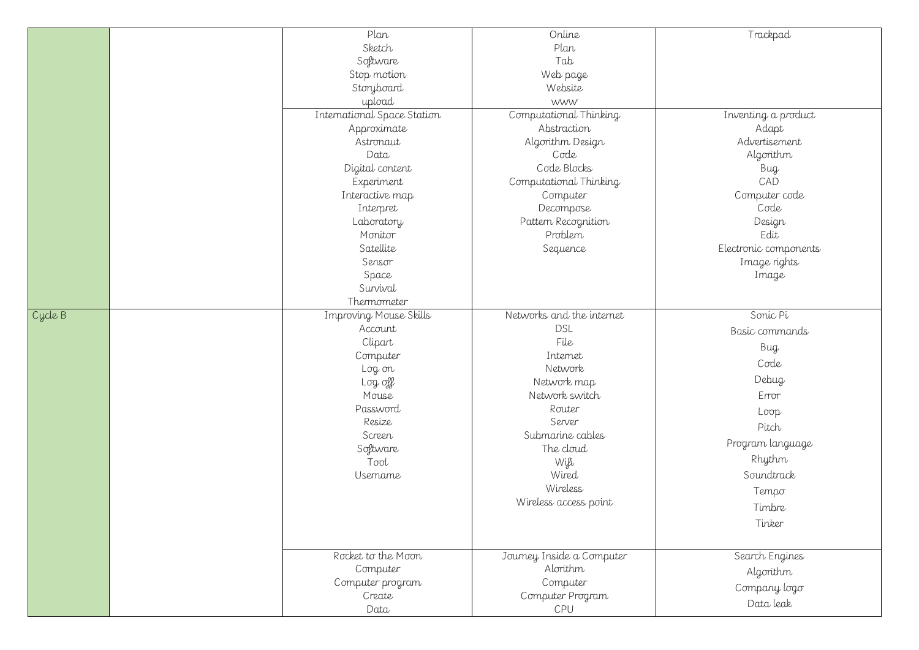## Trackpad

Inventing a product Adapt Advertisement Algorithm Bug CAD Computer code Code Design Edit Electronic components Image rights Image

|         | Plan                          | Online                    |  |
|---------|-------------------------------|---------------------------|--|
|         | Sketch                        | Plan                      |  |
|         | Software                      | Tab                       |  |
|         | Stop motion                   | Web page                  |  |
|         | Storyboard                    | Website                   |  |
|         | upload                        | <b>WWW</b>                |  |
|         | International Space Station   | Computational Thinking    |  |
|         | Approximate                   | Abstraction               |  |
|         | Astronaut                     | Algorithm Design          |  |
|         | Data                          | Code                      |  |
|         | Digital content               | Code Blocks               |  |
|         | Experiment                    | Computational Thinking    |  |
|         | Interactive map               | Computer                  |  |
|         | Interpret                     | Decompose                 |  |
|         | Laboratory                    | Pattern Recognition       |  |
|         | Monitor                       | Problem                   |  |
|         | Satellite                     | Sequence                  |  |
|         | Sensor                        |                           |  |
|         | Space                         |                           |  |
|         | Survival                      |                           |  |
|         | Thermometer                   |                           |  |
| Cycle B | <b>Improving Mouse Skills</b> | Networks and the internet |  |
|         | Account                       | <b>DSL</b>                |  |
|         | Clipart                       | File                      |  |
|         | Computer                      | Internet                  |  |
|         | Log on                        | Network                   |  |
|         | Log off                       | Network map               |  |
|         | Mouse                         | Network switch            |  |
|         | Password                      | Router                    |  |
|         | Resize                        | Server                    |  |
|         | Screen                        | Submarine cables          |  |
|         | Software                      | The cloud                 |  |
|         | Tool                          | Wifi                      |  |
|         | Username                      | Wired                     |  |
|         |                               | Wireless                  |  |
|         |                               | Wireless access point     |  |
|         |                               |                           |  |
|         |                               |                           |  |
|         |                               |                           |  |
|         | Rocket to the Moon            | Journey Inside a Computer |  |
|         | Computer                      | Alorithm                  |  |
|         | Computer program              | Computer                  |  |
|         | Create                        | Computer Program          |  |
|         | Data                          | CPU                       |  |
|         |                               |                           |  |

Sonic Pi Basic commands Bug Code Debug Error Loop Pitch Program language Rhythm Soundtrack Tempo Timbre Tinker

Search Engines Algorithm Company logo Data leak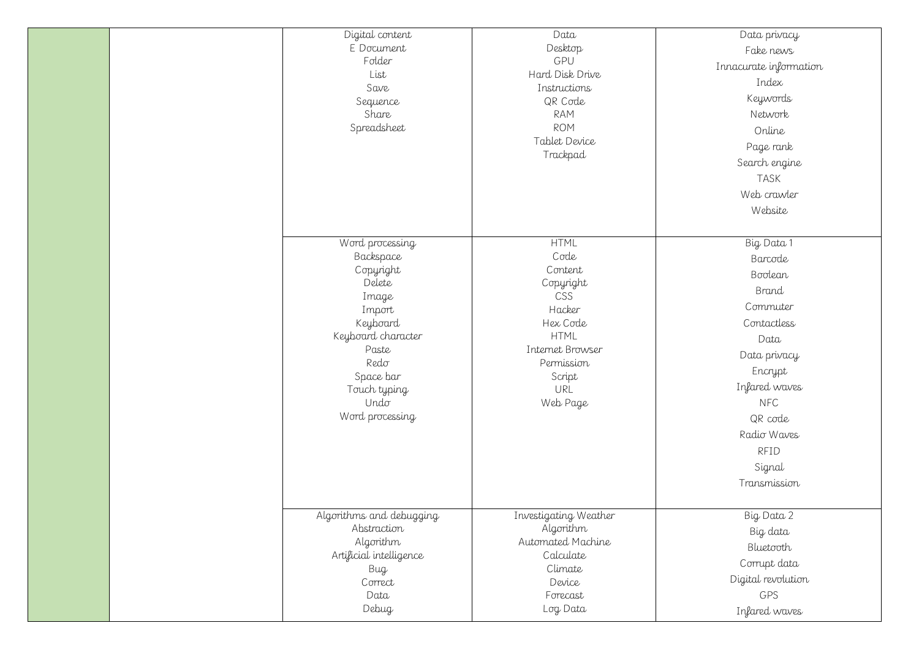Data privacy Fake news Innacurate information Index Keywords Network Online Page rank Search engine TASK Web crawler Website

| Digital content<br>E Document<br>Folder<br>List<br>Save<br>Sequence<br>Share<br>Spreadsheet                                                                                       | Data<br>Desktop<br>GPU<br>Hard Disk Drive<br>Instructions<br>QR Code<br><b>RAM</b><br><b>ROM</b><br>Tablet Device<br>Trackpad                          |  |
|-----------------------------------------------------------------------------------------------------------------------------------------------------------------------------------|--------------------------------------------------------------------------------------------------------------------------------------------------------|--|
| Word processing<br>Backspace<br>Copyright<br>Delete<br>Image<br>Import<br>Keyboard<br>Keyboard character<br>Paste<br>Redo<br>Space bar<br>Touch typing<br>Undo<br>Word processing | <b>HTML</b><br>Code<br>Content<br>Copyright<br>CSS<br>Hacker<br>Hex Code<br><b>HTML</b><br>Internet Browser<br>Permission<br>Script<br>URL<br>Web Page |  |
| Algorithms and debugging<br>Abstraction<br>Algorithm<br>Artificial intelligence<br>Bug<br>Correct<br>Data<br>Debug                                                                | Investigating Weather<br>Algorithm<br>Automated Machine<br>Calculate<br>Climate<br>Device<br>Forecast<br>Log Data                                      |  |

Big Data 1 Barcode Boolean Brand Commuter Contactless Data Data privacy Encrypt Infared waves NFC QR code Radio Waves RFID Signal Transmission

Big Data 2 Big data Bluetooth Corrupt data Digital revolution GPS Infared waves